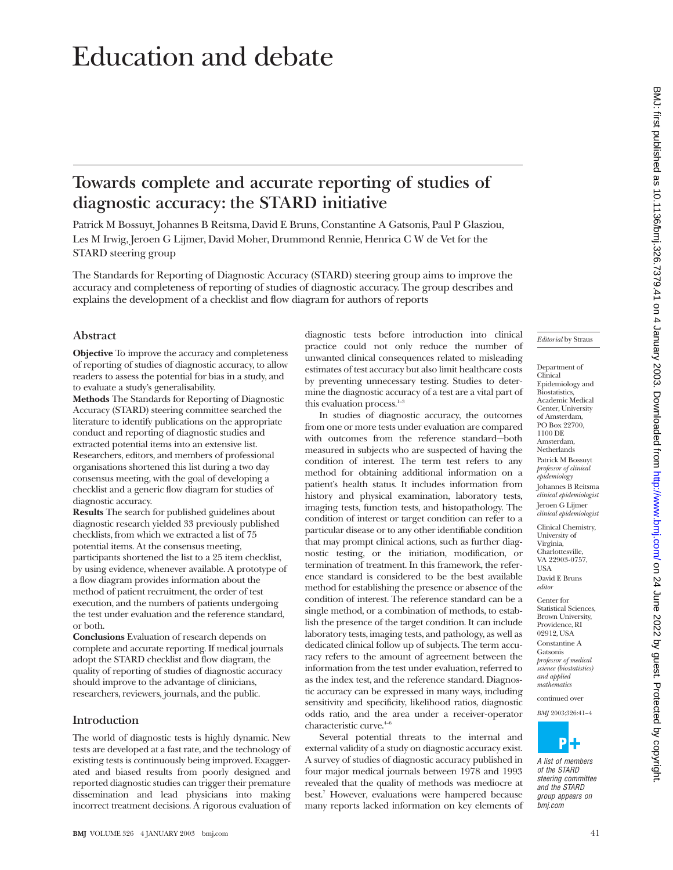# Education and debate

# **Towards complete and accurate reporting of studies of diagnostic accuracy: the STARD initiative**

Patrick M Bossuyt, Johannes B Reitsma, David E Bruns, Constantine A Gatsonis, Paul P Glasziou, Les M Irwig, Jeroen G Lijmer, David Moher, Drummond Rennie, Henrica C W de Vet for the STARD steering group

The Standards for Reporting of Diagnostic Accuracy (STARD) steering group aims to improve the accuracy and completeness of reporting of studies of diagnostic accuracy. The group describes and explains the development of a checklist and flow diagram for authors of reports

#### **Abstract**

**Objective** To improve the accuracy and completeness of reporting of studies of diagnostic accuracy, to allow readers to assess the potential for bias in a study, and to evaluate a study's generalisability.

**Methods** The Standards for Reporting of Diagnostic Accuracy (STARD) steering committee searched the literature to identify publications on the appropriate conduct and reporting of diagnostic studies and extracted potential items into an extensive list. Researchers, editors, and members of professional organisations shortened this list during a two day consensus meeting, with the goal of developing a checklist and a generic flow diagram for studies of diagnostic accuracy.

**Results** The search for published guidelines about diagnostic research yielded 33 previously published checklists, from which we extracted a list of 75 potential items. At the consensus meeting, participants shortened the list to a 25 item checklist, by using evidence, whenever available. A prototype of a flow diagram provides information about the method of patient recruitment, the order of test execution, and the numbers of patients undergoing the test under evaluation and the reference standard, or both.

**Conclusions** Evaluation of research depends on complete and accurate reporting. If medical journals adopt the STARD checklist and flow diagram, the quality of reporting of studies of diagnostic accuracy should improve to the advantage of clinicians, researchers, reviewers, journals, and the public.

### **Introduction**

The world of diagnostic tests is highly dynamic. New tests are developed at a fast rate, and the technology of existing tests is continuously being improved. Exaggerated and biased results from poorly designed and reported diagnostic studies can trigger their premature dissemination and lead physicians into making incorrect treatment decisions. A rigorous evaluation of diagnostic tests before introduction into clinical practice could not only reduce the number of unwanted clinical consequences related to misleading estimates of test accuracy but also limit healthcare costs by preventing unnecessary testing. Studies to determine the diagnostic accuracy of a test are a vital part of this evaluation process.<sup>1-3</sup>

In studies of diagnostic accuracy, the outcomes from one or more tests under evaluation are compared with outcomes from the reference standard—both measured in subjects who are suspected of having the condition of interest. The term test refers to any method for obtaining additional information on a patient's health status. It includes information from history and physical examination, laboratory tests, imaging tests, function tests, and histopathology. The condition of interest or target condition can refer to a particular disease or to any other identifiable condition that may prompt clinical actions, such as further diagnostic testing, or the initiation, modification, or termination of treatment. In this framework, the reference standard is considered to be the best available method for establishing the presence or absence of the condition of interest. The reference standard can be a single method, or a combination of methods, to establish the presence of the target condition. It can include laboratory tests, imaging tests, and pathology, as well as dedicated clinical follow up of subjects. The term accuracy refers to the amount of agreement between the information from the test under evaluation, referred to as the index test, and the reference standard. Diagnostic accuracy can be expressed in many ways, including sensitivity and specificity, likelihood ratios, diagnostic odds ratio, and the area under a receiver-operator characteristic curve.<sup>4-</sup>

Several potential threats to the internal and external validity of a study on diagnostic accuracy exist. A survey of studies of diagnostic accuracy published in four major medical journals between 1978 and 1993 revealed that the quality of methods was mediocre at best.7 However, evaluations were hampered because many reports lacked information on key elements of *Editorial* by Straus

Department of Clinical Epidemiology and Biostatistics, Academic Medical Center, University of Amsterdam, PO Box 22700, 1100 DE Amsterdam, **Netherlands** Patrick M Bossuyt *professor of clinical epidemiology* Johannes B Reitsma *clinical epidemiologist* Jeroen G Lijmer *clinical epidemiologist*

Clinical Chemistry, University of Virginia, Charlottesville, VA 22903-0757, USA David E Bruns *editor*

Center for Statistical Sciences, Brown University, Providence, RI 02912, USA Constantine A Gatsonis *professor of medical science (biostatistics) and applied mathematics*

continued over *BMJ* 2003;326:41–4

PH.

A list of members of the STARD steering committee and the STARD group appears on bmj.com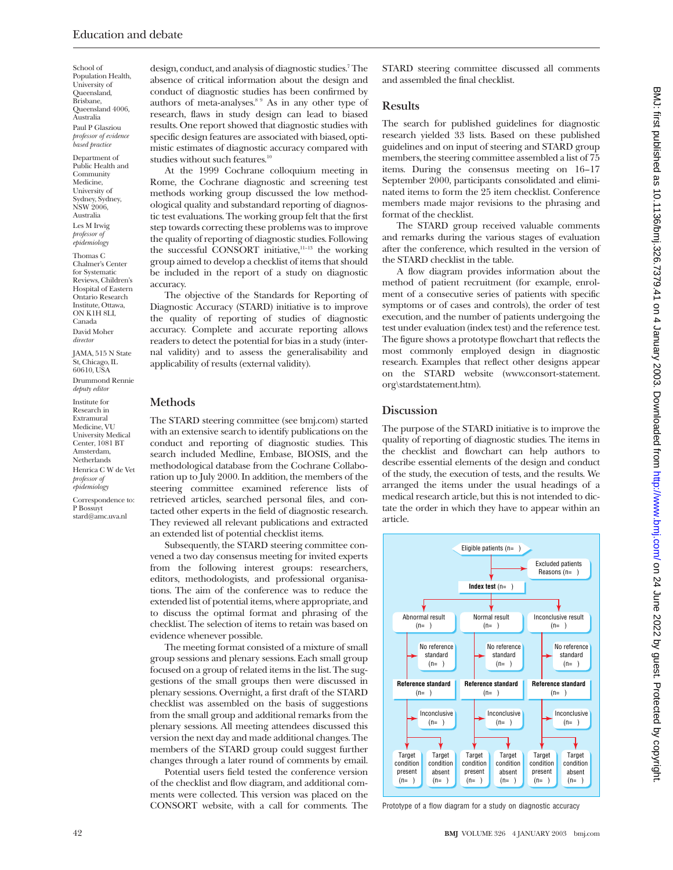School of Population Health, University of Queensland, Brisbane, Queensland 4006, Australia Paul P Glasziou *professor of evidence based practice*

Department of Public Health and Community Medicine, University of Sydney, Sydney, NSW 2006, Australia Les M Irwig *professor of epidemiology*

Thomas C Chalmer's Center for Systematic Reviews, Children's Hospital of Eastern Ontario Research Institute, Ottawa, ON K1H 8LI, Canada David Moher *director*

JAMA, 515 N State St, Chicago, IL 60610, USA Drummond Rennie *deputy editor*

Institute for Research in Extramural Medicine, VU University Medical Center, 1081 BT Amsterdam, **Netherlands** 

Henrica C W de Vet *professor of epidemiology*

Correspondence to: P Bossuyt stard@amc.uva.nl

design, conduct, and analysis of diagnostic studies.7 The absence of critical information about the design and conduct of diagnostic studies has been confirmed by authors of meta-analyses.<sup>8 9</sup> As in any other type of research, flaws in study design can lead to biased results. One report showed that diagnostic studies with specific design features are associated with biased, optimistic estimates of diagnostic accuracy compared with studies without such features.<sup>10</sup>

At the 1999 Cochrane colloquium meeting in Rome, the Cochrane diagnostic and screening test methods working group discussed the low methodological quality and substandard reporting of diagnostic test evaluations. The working group felt that the first step towards correcting these problems was to improve the quality of reporting of diagnostic studies. Following the successful CONSORT initiative,<sup>11-13</sup> the working group aimed to develop a checklist of items that should be included in the report of a study on diagnostic accuracy.

The objective of the Standards for Reporting of Diagnostic Accuracy (STARD) initiative is to improve the quality of reporting of studies of diagnostic accuracy. Complete and accurate reporting allows readers to detect the potential for bias in a study (internal validity) and to assess the generalisability and applicability of results (external validity).

#### **Methods**

The STARD steering committee (see bmj.com) started with an extensive search to identify publications on the conduct and reporting of diagnostic studies. This search included Medline, Embase, BIOSIS, and the methodological database from the Cochrane Collaboration up to July 2000. In addition, the members of the steering committee examined reference lists of retrieved articles, searched personal files, and contacted other experts in the field of diagnostic research. They reviewed all relevant publications and extracted an extended list of potential checklist items.

Subsequently, the STARD steering committee convened a two day consensus meeting for invited experts from the following interest groups: researchers, editors, methodologists, and professional organisations. The aim of the conference was to reduce the extended list of potential items, where appropriate, and to discuss the optimal format and phrasing of the checklist. The selection of items to retain was based on evidence whenever possible.

The meeting format consisted of a mixture of small group sessions and plenary sessions. Each small group focused on a group of related items in the list. The suggestions of the small groups then were discussed in plenary sessions. Overnight, a first draft of the STARD checklist was assembled on the basis of suggestions from the small group and additional remarks from the plenary sessions. All meeting attendees discussed this version the next day and made additional changes. The members of the STARD group could suggest further changes through a later round of comments by email.

Potential users field tested the conference version of the checklist and flow diagram, and additional comments were collected. This version was placed on the CONSORT website, with a call for comments. The

STARD steering committee discussed all comments and assembled the final checklist.

#### **Results**

The search for published guidelines for diagnostic research yielded 33 lists. Based on these published guidelines and on input of steering and STARD group members, the steering committee assembled a list of 75 items. During the consensus meeting on 16–17 September 2000, participants consolidated and eliminated items to form the 25 item checklist. Conference members made major revisions to the phrasing and format of the checklist.

The STARD group received valuable comments and remarks during the various stages of evaluation after the conference, which resulted in the version of the STARD checklist in the table.

A flow diagram provides information about the method of patient recruitment (for example, enrolment of a consecutive series of patients with specific symptoms or of cases and controls), the order of test execution, and the number of patients undergoing the test under evaluation (index test) and the reference test. The figure shows a prototype flowchart that reflects the most commonly employed design in diagnostic research. Examples that reflect other designs appear on the STARD website (www.consort-statement. org\stardstatement.htm).

# **Discussion**

The purpose of the STARD initiative is to improve the quality of reporting of diagnostic studies. The items in the checklist and flowchart can help authors to describe essential elements of the design and conduct of the study, the execution of tests, and the results. We arranged the items under the usual headings of a medical research article, but this is not intended to dictate the order in which they have to appear within an article.



Prototype of a flow diagram for a study on diagnostic accuracy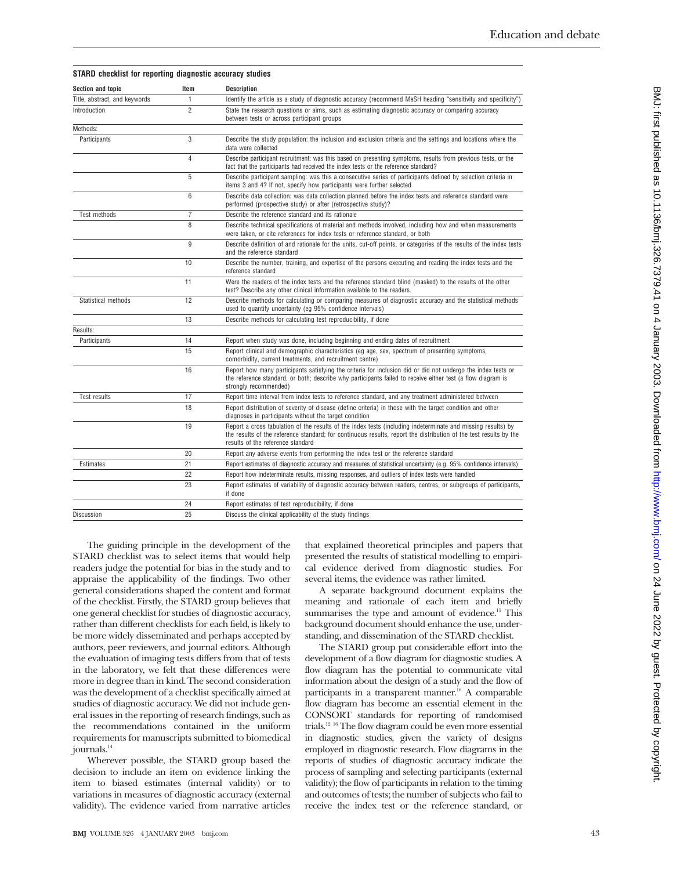#### **STARD checklist for reporting diagnostic accuracy studies**

| <b>Section and topic</b>      | Item           | <b>Description</b>                                                                                                                                                                                                                                                     |
|-------------------------------|----------------|------------------------------------------------------------------------------------------------------------------------------------------------------------------------------------------------------------------------------------------------------------------------|
| Title, abstract, and keywords | 1              | Identify the article as a study of diagnostic accuracy (recommend MeSH heading "sensitivity and specificity")                                                                                                                                                          |
| Introduction                  | $\overline{2}$ | State the research questions or aims, such as estimating diagnostic accuracy or comparing accuracy<br>between tests or across participant groups                                                                                                                       |
| Methods:                      |                |                                                                                                                                                                                                                                                                        |
| Participants                  | 3              | Describe the study population: the inclusion and exclusion criteria and the settings and locations where the<br>data were collected                                                                                                                                    |
|                               | $\overline{4}$ | Describe participant recruitment: was this based on presenting symptoms, results from previous tests, or the<br>fact that the participants had received the index tests or the reference standard?                                                                     |
|                               | 5              | Describe participant sampling: was this a consecutive series of participants defined by selection criteria in<br>items 3 and 4? If not, specify how participants were further selected                                                                                 |
|                               | 6              | Describe data collection: was data collection planned before the index tests and reference standard were<br>performed (prospective study) or after (retrospective study)?                                                                                              |
| <b>Test methods</b>           | 7              | Describe the reference standard and its rationale                                                                                                                                                                                                                      |
|                               | 8              | Describe technical specifications of material and methods involved, including how and when measurements<br>were taken, or cite references for index tests or reference standard, or both                                                                               |
|                               | 9              | Describe definition of and rationale for the units, cut-off points, or categories of the results of the index tests<br>and the reference standard                                                                                                                      |
|                               | 10             | Describe the number, training, and expertise of the persons executing and reading the index tests and the<br>reference standard                                                                                                                                        |
|                               | 11             | Were the readers of the index tests and the reference standard blind (masked) to the results of the other<br>test? Describe any other clinical information available to the readers.                                                                                   |
| Statistical methods           | 12             | Describe methods for calculating or comparing measures of diagnostic accuracy and the statistical methods<br>used to quantify uncertainty (eg 95% confidence intervals)                                                                                                |
|                               | 13             | Describe methods for calculating test reproducibility, if done                                                                                                                                                                                                         |
| Results:                      |                |                                                                                                                                                                                                                                                                        |
| Participants                  | 14             | Report when study was done, including beginning and ending dates of recruitment                                                                                                                                                                                        |
|                               | 15             | Report clinical and demographic characteristics (eq age, sex, spectrum of presenting symptoms,<br>comorbidity, current treatments, and recruitment centre)                                                                                                             |
|                               | 16             | Report how many participants satisfying the criteria for inclusion did or did not undergo the index tests or<br>the reference standard, or both; describe why participants failed to receive either test (a flow diagram is<br>strongly recommended)                   |
| <b>Test results</b>           | 17             | Report time interval from index tests to reference standard, and any treatment administered between                                                                                                                                                                    |
|                               | 18             | Report distribution of severity of disease (define criteria) in those with the target condition and other<br>diagnoses in participants without the target condition                                                                                                    |
|                               | 19             | Report a cross tabulation of the results of the index tests (including indeterminate and missing results) by<br>the results of the reference standard; for continuous results, report the distribution of the test results by the<br>results of the reference standard |
|                               | 20             | Report any adverse events from performing the index test or the reference standard                                                                                                                                                                                     |
| Estimates                     | 21             | Report estimates of diagnostic accuracy and measures of statistical uncertainty (e.g. 95% confidence intervals)                                                                                                                                                        |
|                               | 22             | Report how indeterminate results, missing responses, and outliers of index tests were handled                                                                                                                                                                          |
|                               | 23             | Report estimates of variability of diagnostic accuracy between readers, centres, or subgroups of participants,<br>if done                                                                                                                                              |
|                               | 24             | Report estimates of test reproducibility, if done                                                                                                                                                                                                                      |
| Discussion                    | 25             | Discuss the clinical applicability of the study findings                                                                                                                                                                                                               |

The guiding principle in the development of the STARD checklist was to select items that would help readers judge the potential for bias in the study and to appraise the applicability of the findings. Two other general considerations shaped the content and format of the checklist. Firstly, the STARD group believes that one general checklist for studies of diagnostic accuracy, rather than different checklists for each field, is likely to be more widely disseminated and perhaps accepted by authors, peer reviewers, and journal editors. Although the evaluation of imaging tests differs from that of tests in the laboratory, we felt that these differences were more in degree than in kind. The second consideration was the development of a checklist specifically aimed at studies of diagnostic accuracy. We did not include general issues in the reporting of research findings, such as the recommendations contained in the uniform requirements for manuscripts submitted to biomedical journals.<sup>14</sup>

Wherever possible, the STARD group based the decision to include an item on evidence linking the item to biased estimates (internal validity) or to variations in measures of diagnostic accuracy (external validity). The evidence varied from narrative articles that explained theoretical principles and papers that presented the results of statistical modelling to empirical evidence derived from diagnostic studies. For several items, the evidence was rather limited.

A separate background document explains the meaning and rationale of each item and briefly summarises the type and amount of evidence.<sup>15</sup> This background document should enhance the use, understanding, and dissemination of the STARD checklist.

The STARD group put considerable effort into the development of a flow diagram for diagnostic studies. A flow diagram has the potential to communicate vital information about the design of a study and the flow of participants in a transparent manner.<sup>16</sup> A comparable flow diagram has become an essential element in the CONSORT standards for reporting of randomised trials.12 16 The flow diagram could be even more essential in diagnostic studies, given the variety of designs employed in diagnostic research. Flow diagrams in the reports of studies of diagnostic accuracy indicate the process of sampling and selecting participants (external validity); the flow of participants in relation to the timing and outcomes of tests; the number of subjects who fail to receive the index test or the reference standard, or